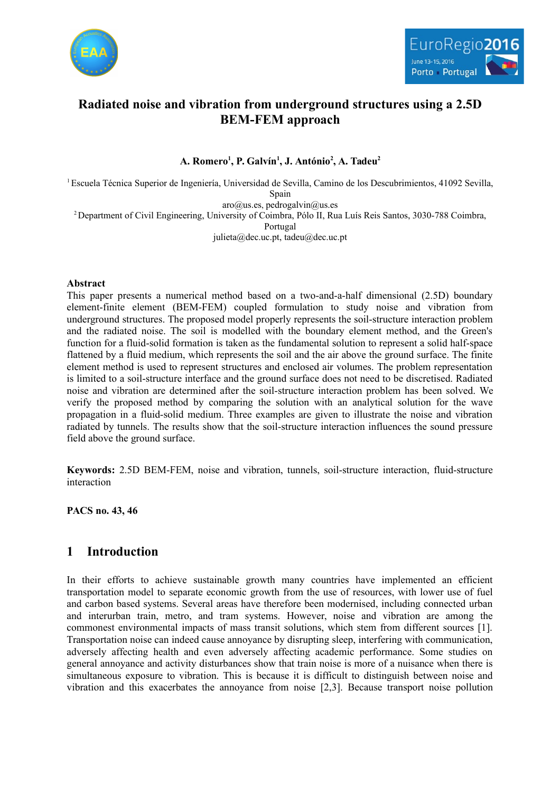



# **Radiated noise and vibration from underground structures using a 2.5D BEM-FEM approach**

## **A. Romero<sup>1</sup> , P. Galvín<sup>1</sup> , J. António<sup>2</sup> , A. Tadeu<sup>2</sup>**

<sup>1</sup>Escuela Técnica Superior de Ingeniería, Universidad de Sevilla, Camino de los Descubrimientos, 41092 Sevilla, Spain

 $aro@us.es, pedrogalvin@us.es$ <sup>2</sup> Department of Civil Engineering, University of Coimbra, Pólo II, Rua Luís Reis Santos, 3030-788 Coimbra, Portugal julieta@dec.uc.pt, tadeu@dec.uc.pt

### **Abstract**

This paper presents a numerical method based on a two-and-a-half dimensional (2.5D) boundary element-finite element (BEM-FEM) coupled formulation to study noise and vibration from underground structures. The proposed model properly represents the soil-structure interaction problem and the radiated noise. The soil is modelled with the boundary element method, and the Green's function for a fluid-solid formation is taken as the fundamental solution to represent a solid half-space flattened by a fluid medium, which represents the soil and the air above the ground surface. The finite element method is used to represent structures and enclosed air volumes. The problem representation is limited to a soil-structure interface and the ground surface does not need to be discretised. Radiated noise and vibration are determined after the soil-structure interaction problem has been solved. We verify the proposed method by comparing the solution with an analytical solution for the wave propagation in a fluid-solid medium. Three examples are given to illustrate the noise and vibration radiated by tunnels. The results show that the soil-structure interaction influences the sound pressure field above the ground surface.

**Keywords:** 2.5D BEM-FEM, noise and vibration, tunnels, soil-structure interaction, fluid-structure interaction

**PACS no. 43, 46**

# **1 Introduction**

In their efforts to achieve sustainable growth many countries have implemented an efficient transportation model to separate economic growth from the use of resources, with lower use of fuel and carbon based systems. Several areas have therefore been modernised, including connected urban and interurban train, metro, and tram systems. However, noise and vibration are among the commonest environmental impacts of mass transit solutions, which stem from different sources [1]. Transportation noise can indeed cause annoyance by disrupting sleep, interfering with communication, adversely affecting health and even adversely affecting academic performance. Some studies on general annoyance and activity disturbances show that train noise is more of a nuisance when there is simultaneous exposure to vibration. This is because it is difficult to distinguish between noise and vibration and this exacerbates the annoyance from noise [2,3]. Because transport noise pollution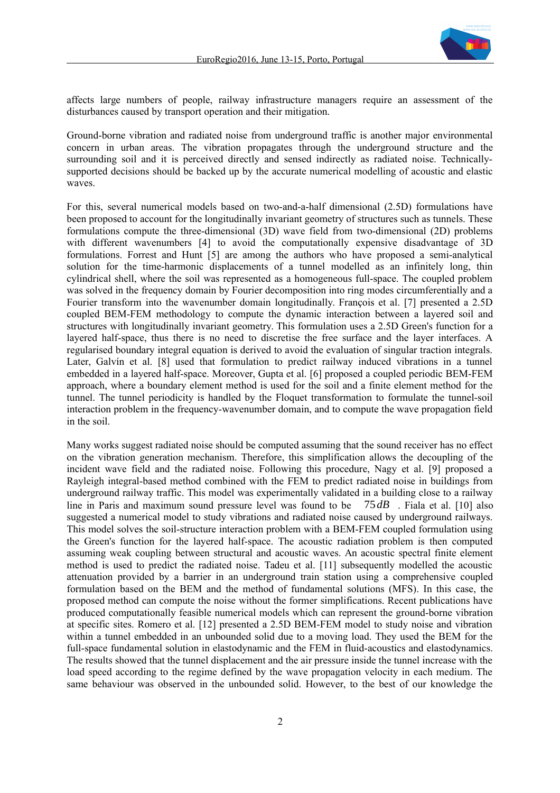

affects large numbers of people, railway infrastructure managers require an assessment of the disturbances caused by transport operation and their mitigation.

Ground-borne vibration and radiated noise from underground traffic is another major environmental concern in urban areas. The vibration propagates through the underground structure and the surrounding soil and it is perceived directly and sensed indirectly as radiated noise. Technicallysupported decisions should be backed up by the accurate numerical modelling of acoustic and elastic waves.

For this, several numerical models based on two-and-a-half dimensional (2.5D) formulations have been proposed to account for the longitudinally invariant geometry of structures such as tunnels. These formulations compute the three-dimensional (3D) wave field from two-dimensional (2D) problems with different wavenumbers [4] to avoid the computationally expensive disadvantage of 3D formulations. Forrest and Hunt [5] are among the authors who have proposed a semi-analytical solution for the time-harmonic displacements of a tunnel modelled as an infinitely long, thin cylindrical shell, where the soil was represented as a homogeneous full-space. The coupled problem was solved in the frequency domain by Fourier decomposition into ring modes circumferentially and a Fourier transform into the wavenumber domain longitudinally. François et al. [7] presented a 2.5D coupled BEM-FEM methodology to compute the dynamic interaction between a layered soil and structures with longitudinally invariant geometry. This formulation uses a 2.5D Green's function for a layered half-space, thus there is no need to discretise the free surface and the layer interfaces. A regularised boundary integral equation is derived to avoid the evaluation of singular traction integrals. Later, Galvín et al. [8] used that formulation to predict railway induced vibrations in a tunnel embedded in a layered half-space. Moreover, Gupta et al. [6] proposed a coupled periodic BEM-FEM approach, where a boundary element method is used for the soil and a finite element method for the tunnel. The tunnel periodicity is handled by the Floquet transformation to formulate the tunnel-soil interaction problem in the frequency-wavenumber domain, and to compute the wave propagation field in the soil.

Many works suggest radiated noise should be computed assuming that the sound receiver has no effect on the vibration generation mechanism. Therefore, this simplification allows the decoupling of the incident wave field and the radiated noise. Following this procedure, Nagy et al. [9] proposed a Rayleigh integral-based method combined with the FEM to predict radiated noise in buildings from underground railway traffic. This model was experimentally validated in a building close to a railway line in Paris and maximum sound pressure level was found to be 75*dB* . Fiala et al. [10] also suggested a numerical model to study vibrations and radiated noise caused by underground railways. This model solves the soil-structure interaction problem with a BEM-FEM coupled formulation using the Green's function for the layered half-space. The acoustic radiation problem is then computed assuming weak coupling between structural and acoustic waves. An acoustic spectral finite element method is used to predict the radiated noise. Tadeu et al. [11] subsequently modelled the acoustic attenuation provided by a barrier in an underground train station using a comprehensive coupled formulation based on the BEM and the method of fundamental solutions (MFS). In this case, the proposed method can compute the noise without the former simplifications. Recent publications have produced computationally feasible numerical models which can represent the ground-borne vibration at specific sites. Romero et al. [12] presented a 2.5D BEM-FEM model to study noise and vibration within a tunnel embedded in an unbounded solid due to a moving load. They used the BEM for the full-space fundamental solution in elastodynamic and the FEM in fluid-acoustics and elastodynamics. The results showed that the tunnel displacement and the air pressure inside the tunnel increase with the load speed according to the regime defined by the wave propagation velocity in each medium. The same behaviour was observed in the unbounded solid. However, to the best of our knowledge the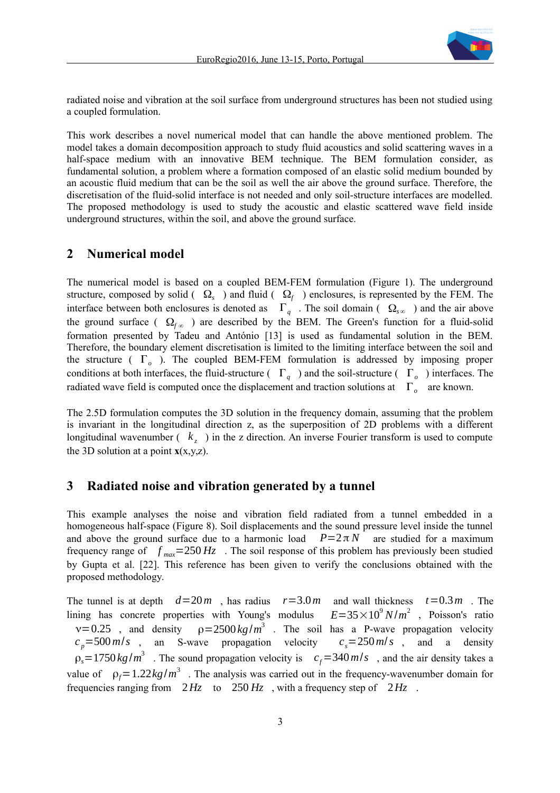

radiated noise and vibration at the soil surface from underground structures has been not studied using a coupled formulation.

This work describes a novel numerical model that can handle the above mentioned problem. The model takes a domain decomposition approach to study fluid acoustics and solid scattering waves in a half-space medium with an innovative BEM technique. The BEM formulation consider, as fundamental solution, a problem where a formation composed of an elastic solid medium bounded by an acoustic fluid medium that can be the soil as well the air above the ground surface. Therefore, the discretisation of the fluid-solid interface is not needed and only soil-structure interfaces are modelled. The proposed methodology is used to study the acoustic and elastic scattered wave field inside underground structures, within the soil, and above the ground surface.

## **2 Numerical model**

The numerical model is based on a coupled BEM-FEM formulation (Figure 1). The underground structure, composed by solid ( $\Omega_s$ ) and fluid ( $\Omega_f$ ) enclosures, is represented by the FEM. The interface between both enclosures is denoted as  $\Gamma_q$ . The soil domain ( $\Omega_{s\infty}$ ) and the air above the ground surface ( $\Omega_{f\infty}$ ) are described by the BEM. The Green's function for a fluid-solid formation presented by Tadeu and António [13] is used as fundamental solution in the BEM. Therefore, the boundary element discretisation is limited to the limiting interface between the soil and the structure ( Γ*<sup>o</sup>* ). The coupled BEM-FEM formulation is addressed by imposing proper conditions at both interfaces, the fluid-structure ( $\Gamma_q$ ) and the soil-structure ( $\Gamma_o$ ) interfaces. The radiated wave field is computed once the displacement and traction solutions at Γ*<sup>o</sup>* are known.

The 2.5D formulation computes the 3D solution in the frequency domain, assuming that the problem is invariant in the longitudinal direction z, as the superposition of 2D problems with a different longitudinal wavenumber  $(k_z)$  in the z direction. An inverse Fourier transform is used to compute the 3D solution at a point  $\mathbf{x}(x,y,z)$ .

### **3 Radiated noise and vibration generated by a tunnel**

This example analyses the noise and vibration field radiated from a tunnel embedded in a homogeneous half-space (Figure 8). Soil displacements and the sound pressure level inside the tunnel and above the ground surface due to a harmonic load  $P=2\pi N$  are studied for a maximum frequency range of  $f_{max}$ =250 *Hz*. The soil response of this problem has previously been studied by Gupta et al. [22]. This reference has been given to verify the conclusions obtained with the proposed methodology.

The tunnel is at depth  $d=20m$ , has radius  $r=3.0m$  and wall thickness  $t=0.3m$ . The lining has concrete properties with Young's modulus <sup>2</sup>, Poisson's ratio  $v=0.25$  , and density  $\rho=2500 \text{ kg/m}^3$  . The soil has a P-wave propagation velocity  $c_p = 500 \text{ m/s}$ , an S-wave propagation velocity  $c_s = 250 \text{ m/s}$ , and a density  $\rho_s = 1750 \text{ kg/m}^3$ . The sound propagation velocity is  $c_f = 340 \text{ m/s}$ , and the air density takes a value of  $\rho_f = 1.22 \text{ kg/m}^3$ . The analysis was carried out in the frequency-wavenumber domain for frequencies ranging from 2*Hz* to 250 *Hz* , with a frequency step of 2*Hz* .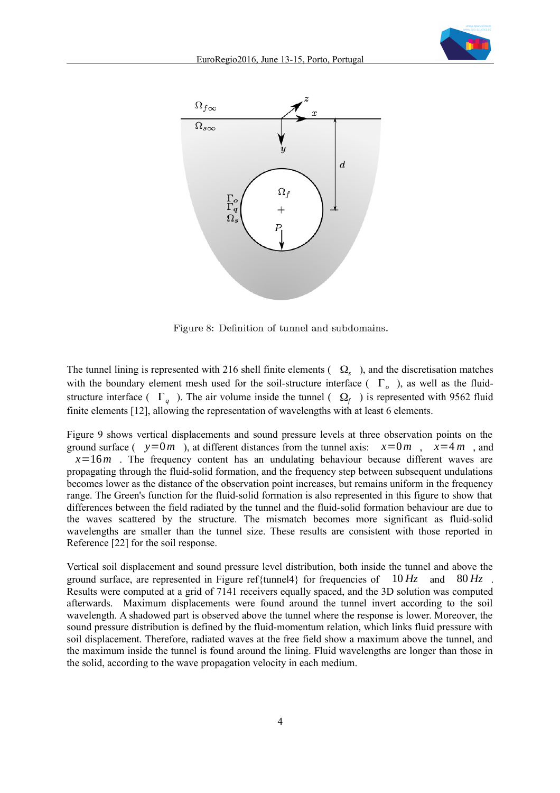



Figure 8: Definition of tunnel and subdomains.

The tunnel lining is represented with 216 shell finite elements  $( \Omega_s )$ , and the discretisation matches with the boundary element mesh used for the soil-structure interface ( Γ*<sup>o</sup>* ), as well as the fluidstructure interface ( $\Gamma_q$ ). The air volume inside the tunnel ( $\Omega_f$ ) is represented with 9562 fluid finite elements [12], allowing the representation of wavelengths with at least 6 elements.

Figure 9 shows vertical displacements and sound pressure levels at three observation points on the ground surface ( $y=0$ *m*), at different distances from the tunnel axis:  $x=0$ *m*,  $x=4$ *m*, and  $x=16m$ . The frequency content has an undulating behaviour because different waves are propagating through the fluid-solid formation, and the frequency step between subsequent undulations becomes lower as the distance of the observation point increases, but remains uniform in the frequency range. The Green's function for the fluid-solid formation is also represented in this figure to show that differences between the field radiated by the tunnel and the fluid-solid formation behaviour are due to the waves scattered by the structure. The mismatch becomes more significant as fluid-solid wavelengths are smaller than the tunnel size. These results are consistent with those reported in Reference [22] for the soil response.

Vertical soil displacement and sound pressure level distribution, both inside the tunnel and above the ground surface, are represented in Figure ref{tunnel4} for frequencies of 10 *Hz* and 80 *Hz* . Results were computed at a grid of 7141 receivers equally spaced, and the 3D solution was computed afterwards. Maximum displacements were found around the tunnel invert according to the soil wavelength. A shadowed part is observed above the tunnel where the response is lower. Moreover, the sound pressure distribution is defined by the fluid-momentum relation, which links fluid pressure with soil displacement. Therefore, radiated waves at the free field show a maximum above the tunnel, and the maximum inside the tunnel is found around the lining. Fluid wavelengths are longer than those in the solid, according to the wave propagation velocity in each medium.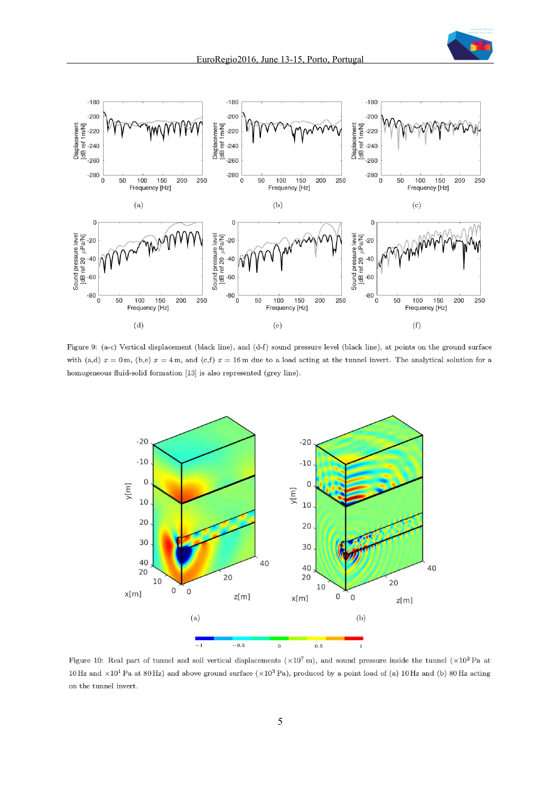

Figure 9: (a-c) Vertical displacement (black line), and (d-f) sound pressure level (black line), at points on the ground surface with (a,d)  $x = 0$  m, (b,e)  $x = 4$  m, and (c,f)  $x = 16$  m due to a load acting at the tunnel invert. The analytical solution for a homogeneous fluid-solid formation [13] is also represented (grey line).



Figure 10: Real part of tunnel and soil vertical displacements ( $\times 10^7$  m), and sound pressure inside the tunnel ( $\times 10^2$  Pa at 10 Hz and  $\times 10^1$  Pa at 80 Hz) and above ground surface ( $\times 10^3$  Pa), produced by a point load of (a) 10 Hz and (b) 80 Hz acting on the tunnel invert.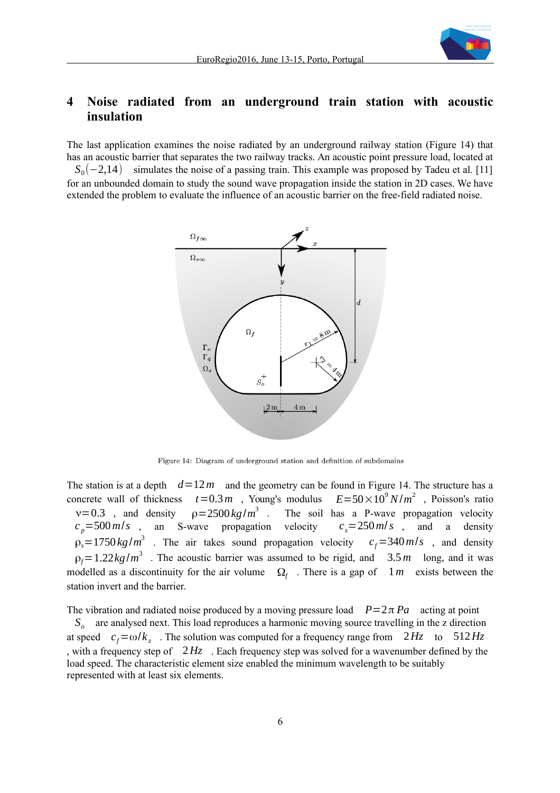

# **4 Noise radiated from an underground train station with acoustic insulation**

The last application examines the noise radiated by an underground railway station (Figure 14) that has an acoustic barrier that separates the two railway tracks. An acoustic point pressure load, located at *S*<sub>0</sub>(−2,14) simulates the noise of a passing train. This example was proposed by Tadeu et al. [11] for an unbounded domain to study the sound wave propagation inside the station in 2D cases. We have extended the problem to evaluate the influence of an acoustic barrier on the free-field radiated noise.



Figure 14: Diagram of underground station and definition of subdomains

The station is at a depth  $d=12 m$  and the geometry can be found in Figure 14. The structure has a concrete wall of thickness  $t = 0.3 m$ , Young's modulus  $E = 50 \times 10^9 N/m^2$ , Poisson's ratio  $v=0.3$  , and density  $\rho = 2500 \frac{kg}{m^3}$ . The soil has a P-wave propagation velocity  $c_p = 500 \text{ m/s}$ , an S-wave propagation velocity  $c_s = 250 \text{ m/s}$ , and a density  $\rho_s = 1750 \text{ kg/m}^3$  . The air takes sound propagation velocity  $c_f = 340 \text{ m/s}$ , and density  $\rho_f$ =1.22*kg*/ $m^3$ . The acoustic barrier was assumed to be rigid, and 3.5*m* long, and it was modelled as a discontinuity for the air volume  $\Omega_f$ . There is a gap of  $1m$  exists between the station invert and the barrier.

The vibration and radiated noise produced by a moving pressure load  $P=2\pi Pa$  acting at point *So* are analysed next. This load reproduces a harmonic moving source travelling in the z direction at speed  $c_f = \omega/k_z$ . The solution was computed for a frequency range from  $2Hz$  to  $512Hz$ , with a frequency step of 2*Hz* . Each frequency step was solved for a wavenumber defined by the load speed. The characteristic element size enabled the minimum wavelength to be suitably represented with at least six elements.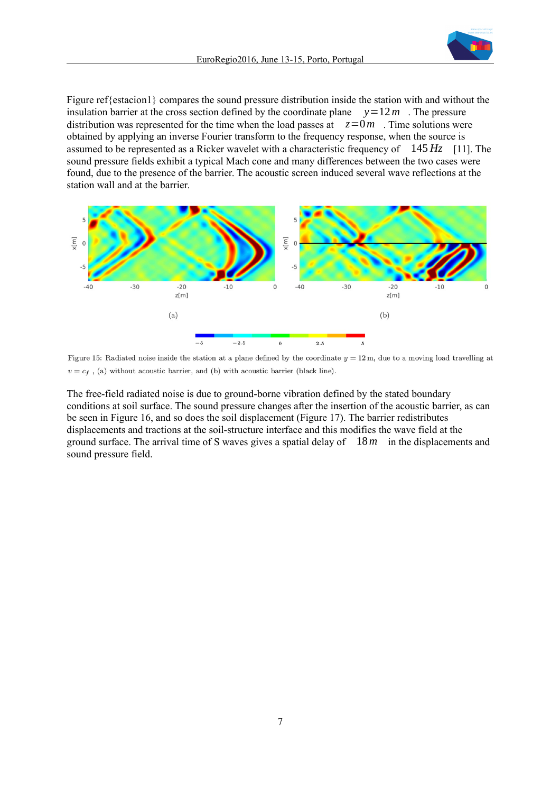

Figure ref{estacion1} compares the sound pressure distribution inside the station with and without the insulation barrier at the cross section defined by the coordinate plane  $y=12 m$ . The pressure distribution was represented for the time when the load passes at  $z=0$  *m*. Time solutions were obtained by applying an inverse Fourier transform to the frequency response, when the source is assumed to be represented as a Ricker wavelet with a characteristic frequency of 145 *Hz* [11]. The sound pressure fields exhibit a typical Mach cone and many differences between the two cases were found, due to the presence of the barrier. The acoustic screen induced several wave reflections at the station wall and at the barrier.



Figure 15: Radiated noise inside the station at a plane defined by the coordinate  $y = 12$  m, due to a moving load travelling at  $v = c_f$ , (a) without acoustic barrier, and (b) with acoustic barrier (black line).

The free-field radiated noise is due to ground-borne vibration defined by the stated boundary conditions at soil surface. The sound pressure changes after the insertion of the acoustic barrier, as can be seen in Figure 16, and so does the soil displacement (Figure 17). The barrier redistributes displacements and tractions at the soil-structure interface and this modifies the wave field at the ground surface. The arrival time of S waves gives a spatial delay of 18*m* in the displacements and sound pressure field.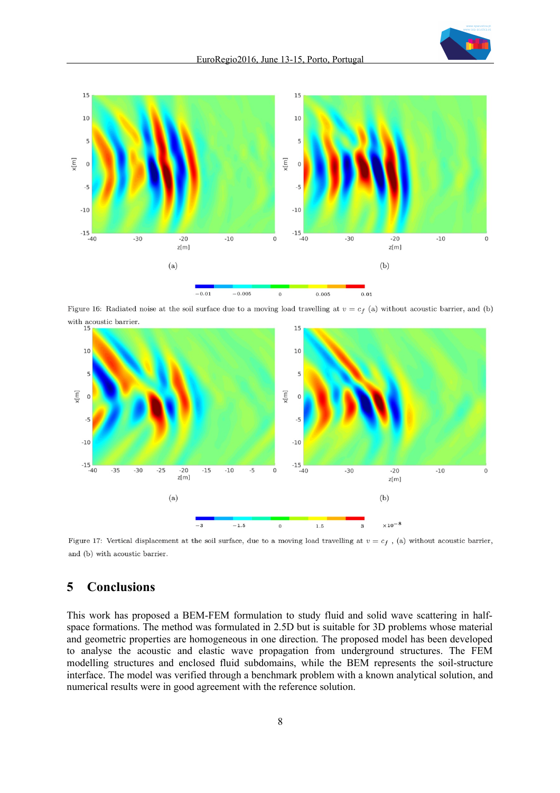



Figure 16: Radiated noise at the soil surface due to a moving load travelling at  $v = c_f$  (a) without acoustic barrier, and (b) with acoustic barrier.



Figure 17: Vertical displacement at the soil surface, due to a moving load travelling at  $v = c_f$ , (a) without acoustic barrier, and (b) with acoustic barrier.

## **5 Conclusions**

This work has proposed a BEM-FEM formulation to study fluid and solid wave scattering in halfspace formations. The method was formulated in 2.5D but is suitable for 3D problems whose material and geometric properties are homogeneous in one direction. The proposed model has been developed to analyse the acoustic and elastic wave propagation from underground structures. The FEM modelling structures and enclosed fluid subdomains, while the BEM represents the soil-structure interface. The model was verified through a benchmark problem with a known analytical solution, and numerical results were in good agreement with the reference solution.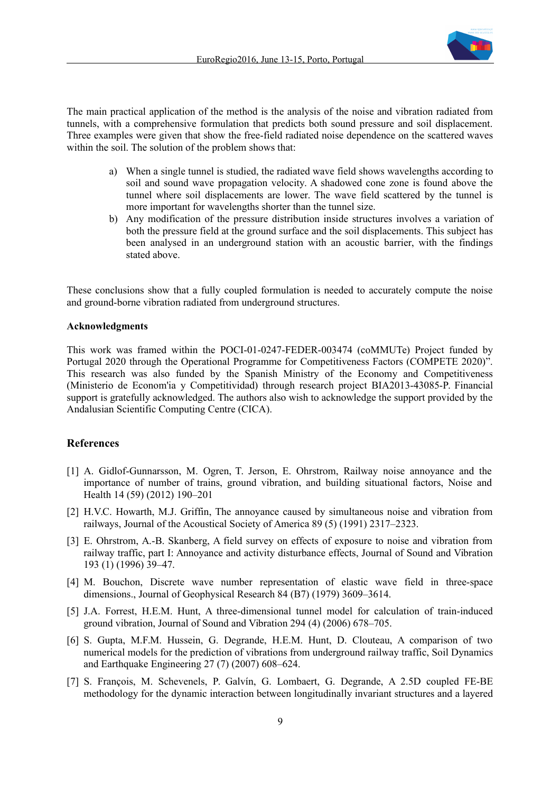

The main practical application of the method is the analysis of the noise and vibration radiated from tunnels, with a comprehensive formulation that predicts both sound pressure and soil displacement. Three examples were given that show the free-field radiated noise dependence on the scattered waves within the soil. The solution of the problem shows that:

- a) When a single tunnel is studied, the radiated wave field shows wavelengths according to soil and sound wave propagation velocity. A shadowed cone zone is found above the tunnel where soil displacements are lower. The wave field scattered by the tunnel is more important for wavelengths shorter than the tunnel size.
- b) Any modification of the pressure distribution inside structures involves a variation of both the pressure field at the ground surface and the soil displacements. This subject has been analysed in an underground station with an acoustic barrier, with the findings stated above.

These conclusions show that a fully coupled formulation is needed to accurately compute the noise and ground-borne vibration radiated from underground structures.

#### **Acknowledgments**

This work was framed within the POCI-01-0247-FEDER-003474 (coMMUTe) Project funded by Portugal 2020 through the Operational Programme for Competitiveness Factors (COMPETE 2020)". This research was also funded by the Spanish Ministry of the Economy and Competitiveness (Ministerio de Econom'ia y Competitividad) through research project BIA2013-43085-P. Financial support is gratefully acknowledged. The authors also wish to acknowledge the support provided by the Andalusian Scientific Computing Centre (CICA).

#### **References**

- [1] A. Gidlof-Gunnarsson, M. Ogren, T. Jerson, E. Ohrstrom, Railway noise annoyance and the importance of number of trains, ground vibration, and building situational factors, Noise and Health 14 (59) (2012) 190–201
- [2] H.V.C. Howarth, M.J. Griffin, The annoyance caused by simultaneous noise and vibration from railways, Journal of the Acoustical Society of America 89 (5) (1991) 2317–2323.
- [3] E. Ohrstrom, A.-B. Skanberg, A field survey on effects of exposure to noise and vibration from railway traffic, part I: Annoyance and activity disturbance effects, Journal of Sound and Vibration 193 (1) (1996) 39–47.
- [4] M. Bouchon, Discrete wave number representation of elastic wave field in three-space dimensions., Journal of Geophysical Research 84 (B7) (1979) 3609–3614.
- [5] J.A. Forrest, H.E.M. Hunt, A three-dimensional tunnel model for calculation of train-induced ground vibration, Journal of Sound and Vibration 294 (4) (2006) 678–705.
- [6] S. Gupta, M.F.M. Hussein, G. Degrande, H.E.M. Hunt, D. Clouteau, A comparison of two numerical models for the prediction of vibrations from underground railway traffic, Soil Dynamics and Earthquake Engineering 27 (7) (2007) 608–624.
- [7] S. François, M. Schevenels, P. Galvín, G. Lombaert, G. Degrande, A 2.5D coupled FE-BE methodology for the dynamic interaction between longitudinally invariant structures and a layered